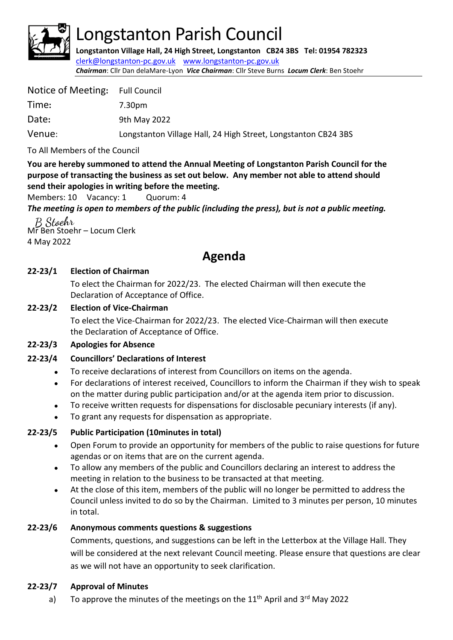

# Longstanton Parish Council

**Longstanton Village Hall, 24 High Street, Longstanton CB24 3BS Tel: 01954 782323** [clerk@longstanton-pc.gov.uk](mailto:clerk@longstanton-pc.gov.uk) [www.longstanton-pc.gov.uk](http://www.longstanton-pc.gov.uk/) *Chairman*: Cllr Dan delaMare-Lyon *Vice Chairman*: Cllr Steve Burns *Locum Clerk*: Ben Stoehr

| Notice of Meeting: Full Council                                |
|----------------------------------------------------------------|
| 7.30pm                                                         |
| 9th May 2022                                                   |
| Longstanton Village Hall, 24 High Street, Longstanton CB24 3BS |
|                                                                |

To All Members of the Council

**You are hereby summoned to attend the Annual Meeting of Longstanton Parish Council for the purpose of transacting the business as set out below. Any member not able to attend should send their apologies in writing before the meeting.**

Members: 10 Vacancy: 1 Quorum: 4

*The meeting is open to members of the public (including the press), but is not a public meeting.* 

B Stoehr Mr Ben Stoehr – Locum Clerk 4 May 2022

# **Agenda**

# **22-23/1 Election of Chairman**

To elect the Chairman for 2022/23. The elected Chairman will then execute the Declaration of Acceptance of Office.

## **22-23/2 Election of Vice-Chairman**

To elect the Vice-Chairman for 2022/23. The elected Vice-Chairman will then execute the Declaration of Acceptance of Office.

#### **22-23/3 Apologies for Absence**

# **22-23/4 Councillors' Declarations of Interest**

- To receive declarations of interest from Councillors on items on the agenda.
- For declarations of interest received, Councillors to inform the Chairman if they wish to speak on the matter during public participation and/or at the agenda item prior to discussion.
- To receive written requests for dispensations for disclosable pecuniary interests (if any).
- To grant any requests for dispensation as appropriate.

# **22-23/5 Public Participation (10minutes in total)**

- Open Forum to provide an opportunity for members of the public to raise questions for future agendas or on items that are on the current agenda.
- To allow any members of the public and Councillors declaring an interest to address the meeting in relation to the business to be transacted at that meeting.
- At the close of this item, members of the public will no longer be permitted to address the Council unless invited to do so by the Chairman. Limited to 3 minutes per person, 10 minutes in total.

# **22-23/6 Anonymous comments questions & suggestions**

Comments, questions, and suggestions can be left in the Letterbox at the Village Hall. They will be considered at the next relevant Council meeting. Please ensure that questions are clear as we will not have an opportunity to seek clarification.

#### **22-23/7 Approval of Minutes**

a) To approve the minutes of the meetings on the  $11<sup>th</sup>$  April and  $3<sup>rd</sup>$  May 2022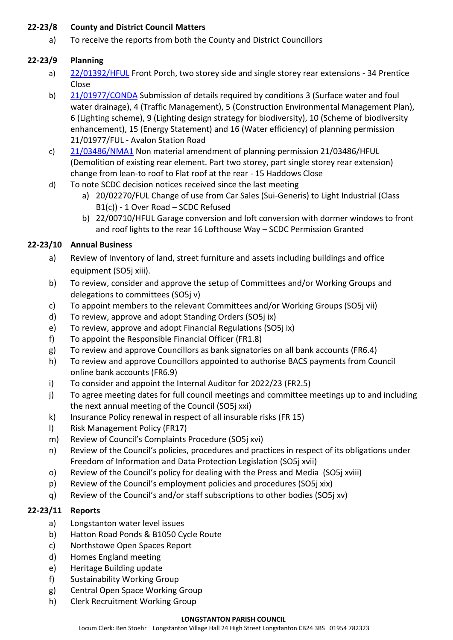## **22-23/8 County and District Council Matters**

a) To receive the reports from both the County and District Councillors

# **22-23/9 Planning**

- a) [22/01392/HFUL](https://applications.greatercambridgeplanning.org/online-applications/PLAN/22/01392/HFUL) Front Porch, two storey side and single storey rear extensions 34 Prentice Close
- b) [21/01977/CONDA](https://applications.greatercambridgeplanning.org/online-applications/PLAN/21/01977/CONDA) Submission of details required by conditions 3 (Surface water and foul water drainage), 4 (Traffic Management), 5 (Construction Environmental Management Plan), 6 (Lighting scheme), 9 (Lighting design strategy for biodiversity), 10 (Scheme of biodiversity enhancement), 15 (Energy Statement) and 16 (Water efficiency) of planning permission 21/01977/FUL - Avalon Station Road
- c) [21/03486/NMA1](https://applications.greatercambridgeplanning.org/online-applications/PLAN/21/03486/NMA1) Non material amendment of planning permission 21/03486/HFUL (Demolition of existing rear element. Part two storey, part single storey rear extension) change from lean-to roof to Flat roof at the rear - 15 Haddows Close
- d) To note SCDC decision notices received since the last meeting
	- a) 20/02270/FUL Change of use from Car Sales (Sui-Generis) to Light Industrial (Class B1(c)) - 1 Over Road – SCDC Refused
	- b) 22/00710/HFUL Garage conversion and loft conversion with dormer windows to front and roof lights to the rear 16 Lofthouse Way – SCDC Permission Granted

# **22-23/10 Annual Business**

- a) Review of Inventory of land, street furniture and assets including buildings and office equipment (SO5j xiii).
- b) To review, consider and approve the setup of Committees and/or Working Groups and delegations to committees (SO5j v)
- c) To appoint members to the relevant Committees and/or Working Groups (SO5j vii)
- d) To review, approve and adopt Standing Orders (SO5j ix)
- e) To review, approve and adopt Financial Regulations (SO5j ix)
- f) To appoint the Responsible Financial Officer (FR1.8)
- g) To review and approve Councillors as bank signatories on all bank accounts (FR6.4)
- h) To review and approve Councillors appointed to authorise BACS payments from Council online bank accounts (FR6.9)
- i) To consider and appoint the Internal Auditor for 2022/23 (FR2.5)
- j) To agree meeting dates for full council meetings and committee meetings up to and including the next annual meeting of the Council (SO5j xxi)
- k) Insurance Policy renewal in respect of all insurable risks (FR 15)
- l) Risk Management Policy (FR17)
- m) Review of Council's Complaints Procedure (SO5j xvi)
- n) Review of the Council's policies, procedures and practices in respect of its obligations under Freedom of Information and Data Protection Legislation (SO5j xvii)
- o) Review of the Council's policy for dealing with the Press and Media (SO5j xviii)
- p) Review of the Council's employment policies and procedures (SO5j xix)
- q) Review of the Council's and/or staff subscriptions to other bodies (SO5j xv)

# **22-23/11 Reports**

- a) Longstanton water level issues
- b) Hatton Road Ponds & B1050 Cycle Route
- c) Northstowe Open Spaces Report
- d) Homes England meeting
- e) Heritage Building update
- f) Sustainability Working Group
- g) Central Open Space Working Group
- h) Clerk Recruitment Working Group

#### **LONGSTANTON PARISH COUNCIL**